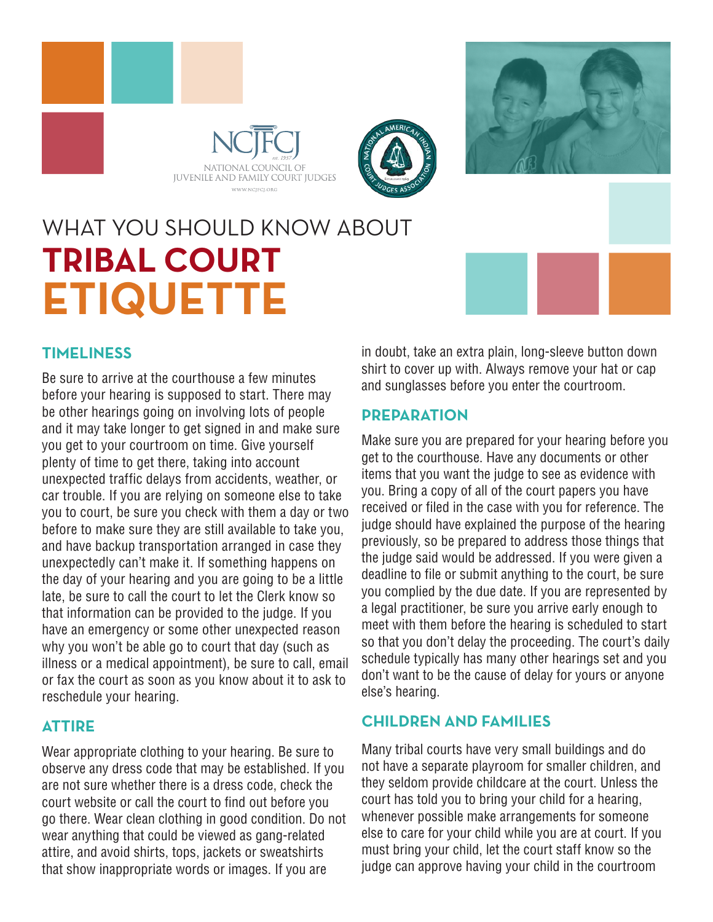





# WHAT YOU SHOULD KNOW ABOUT **TRIBAL COURT ETIQUETTE**

# **TIMELINESS**

Be sure to arrive at the courthouse a few minutes before your hearing is supposed to start. There may be other hearings going on involving lots of people and it may take longer to get signed in and make sure you get to your courtroom on time. Give yourself plenty of time to get there, taking into account unexpected traffic delays from accidents, weather, or car trouble. If you are relying on someone else to take you to court, be sure you check with them a day or two before to make sure they are still available to take you, and have backup transportation arranged in case they unexpectedly can't make it. If something happens on the day of your hearing and you are going to be a little late, be sure to call the court to let the Clerk know so that information can be provided to the judge. If you have an emergency or some other unexpected reason why you won't be able go to court that day (such as illness or a medical appointment), be sure to call, email or fax the court as soon as you know about it to ask to reschedule your hearing.

#### **ATTIRE**

Wear appropriate clothing to your hearing. Be sure to observe any dress code that may be established. If you are not sure whether there is a dress code, check the court website or call the court to find out before you go there. Wear clean clothing in good condition. Do not wear anything that could be viewed as gang-related attire, and avoid shirts, tops, jackets or sweatshirts that show inappropriate words or images. If you are

in doubt, take an extra plain, long-sleeve button down shirt to cover up with. Always remove your hat or cap and sunglasses before you enter the courtroom.

#### **PREPARATION**

Make sure you are prepared for your hearing before you get to the courthouse. Have any documents or other items that you want the judge to see as evidence with you. Bring a copy of all of the court papers you have received or filed in the case with you for reference. The judge should have explained the purpose of the hearing previously, so be prepared to address those things that the judge said would be addressed. If you were given a deadline to file or submit anything to the court, be sure you complied by the due date. If you are represented by a legal practitioner, be sure you arrive early enough to meet with them before the hearing is scheduled to start so that you don't delay the proceeding. The court's daily schedule typically has many other hearings set and you don't want to be the cause of delay for yours or anyone else's hearing.

# **CHILDREN AND FAMILIES**

Many tribal courts have very small buildings and do not have a separate playroom for smaller children, and they seldom provide childcare at the court. Unless the court has told you to bring your child for a hearing, whenever possible make arrangements for someone else to care for your child while you are at court. If you must bring your child, let the court staff know so the judge can approve having your child in the courtroom